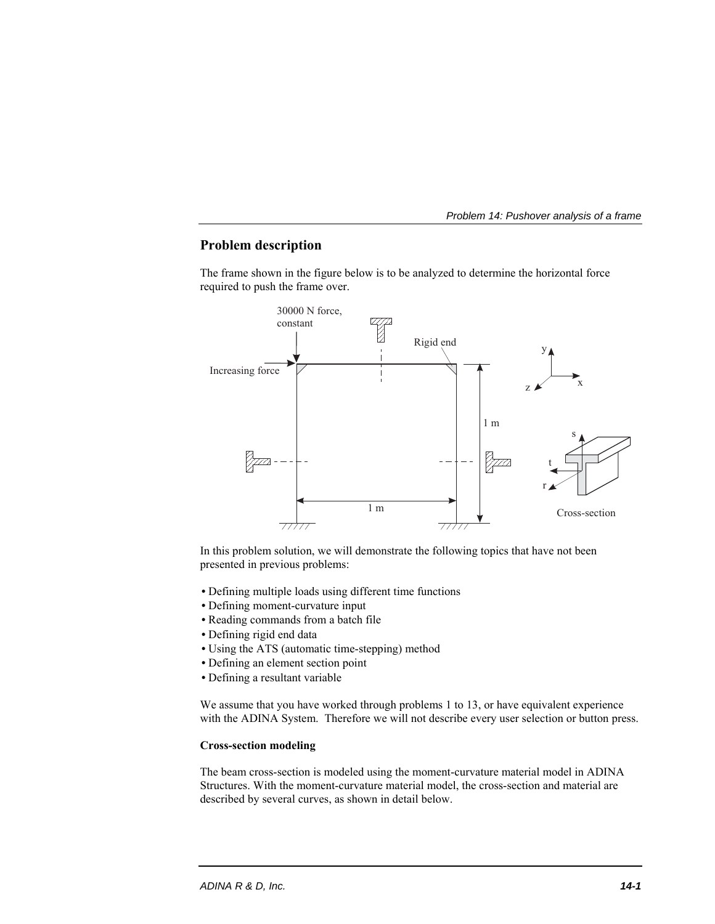# **Problem description**

The frame shown in the figure below is to be analyzed to determine the horizontal force required to push the frame over.



In this problem solution, we will demonstrate the following topics that have not been presented in previous problems:

- Defining multiple loads using different time functions
- Defining moment-curvature input
- Reading commands from a batch file
- Defining rigid end data
- Using the ATS (automatic time-stepping) method
- Defining an element section point
- Defining a resultant variable

We assume that you have worked through problems 1 to 13, or have equivalent experience with the ADINA System. Therefore we will not describe every user selection or button press.

#### **Cross-section modeling**

The beam cross-section is modeled using the moment-curvature material model in ADINA Structures. With the moment-curvature material model, the cross-section and material are described by several curves, as shown in detail below.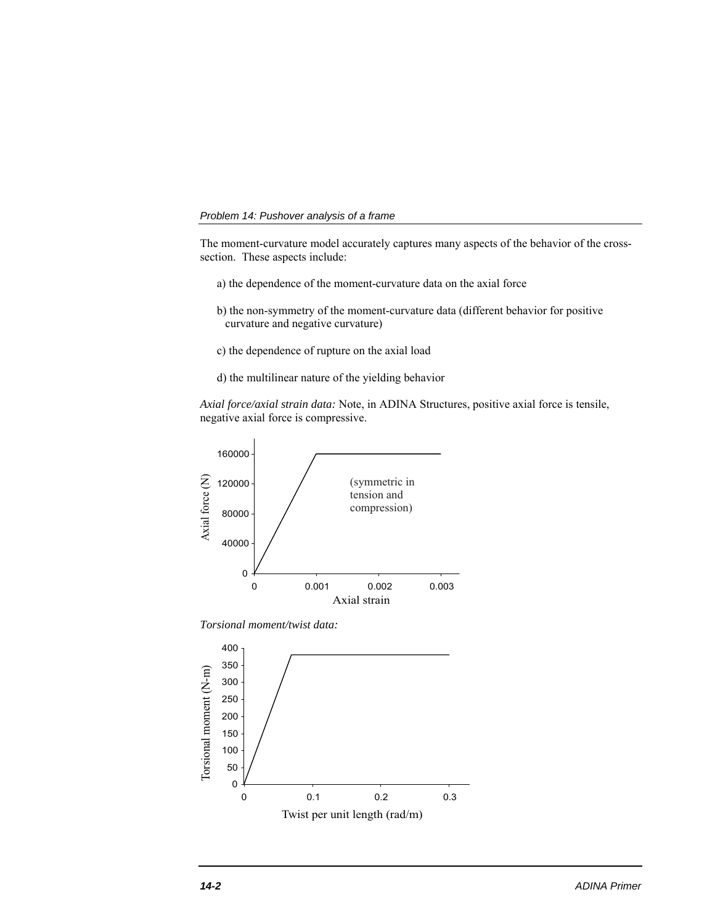The moment-curvature model accurately captures many aspects of the behavior of the crosssection. These aspects include:

- a) the dependence of the moment-curvature data on the axial force
- b) the non-symmetry of the moment-curvature data (different behavior for positive curvature and negative curvature)
- c) the dependence of rupture on the axial load
- d) the multilinear nature of the yielding behavior

*Axial force/axial strain data:* Note, in ADINA Structures, positive axial force is tensile, negative axial force is compressive.



*Torsional moment/twist data:* 

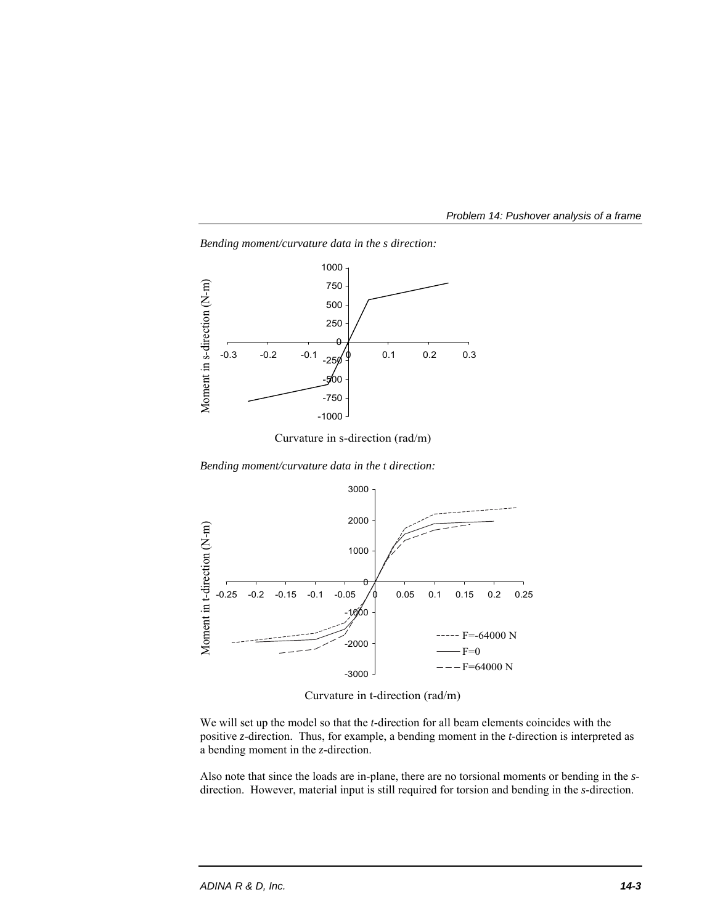



*Bending moment/curvature data in the s direction:* 

Curvature in s-direction (rad/m)

*Bending moment/curvature data in the t direction:* 



Curvature in t-direction (rad/m)

We will set up the model so that the *t*-direction for all beam elements coincides with the positive *z*-direction. Thus, for example, a bending moment in the *t*-direction is interpreted as a bending moment in the *z*-direction.

Also note that since the loads are in-plane, there are no torsional moments or bending in the *s*direction. However, material input is still required for torsion and bending in the *s*-direction.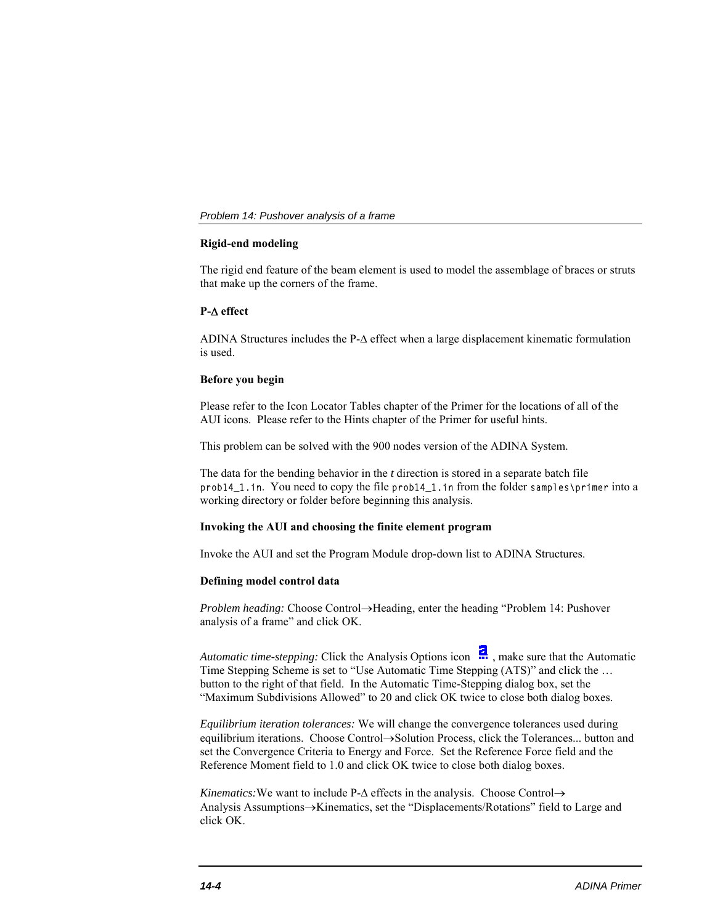### **Rigid-end modeling**

The rigid end feature of the beam element is used to model the assemblage of braces or struts that make up the corners of the frame.

### **P- effect**

ADINA Structures includes the P- $\Delta$  effect when a large displacement kinematic formulation is used.

## **Before you begin**

Please refer to the Icon Locator Tables chapter of the Primer for the locations of all of the AUI icons. Please refer to the Hints chapter of the Primer for useful hints.

This problem can be solved with the 900 nodes version of the ADINA System.

The data for the bending behavior in the *t* direction is stored in a separate batch file prob14\_1.in. You need to copy the file prob14\_1.in from the folder samples\primer into a working directory or folder before beginning this analysis.

# **Invoking the AUI and choosing the finite element program**

Invoke the AUI and set the Program Module drop-down list to ADINA Structures.

#### **Defining model control data**

*Problem heading:* Choose Control->Heading, enter the heading "Problem 14: Pushover analysis of a frame" and click OK.

*Automatic time-stepping:* Click the Analysis Options icon  $\frac{1}{n}$ , make sure that the Automatic Time Stepping Scheme is set to "Use Automatic Time Stepping (ATS)" and click the … button to the right of that field. In the Automatic Time-Stepping dialog box, set the "Maximum Subdivisions Allowed" to 20 and click OK twice to close both dialog boxes.

*Equilibrium iteration tolerances:* We will change the convergence tolerances used during equilibrium iterations. Choose Control->Solution Process, click the Tolerances... button and set the Convergence Criteria to Energy and Force. Set the Reference Force field and the Reference Moment field to 1.0 and click OK twice to close both dialog boxes.

*Kinematics:* We want to include  $P-\Delta$  effects in the analysis. Choose Control $\rightarrow$ Analysis Assumptions->Kinematics, set the "Displacements/Rotations" field to Large and click OK.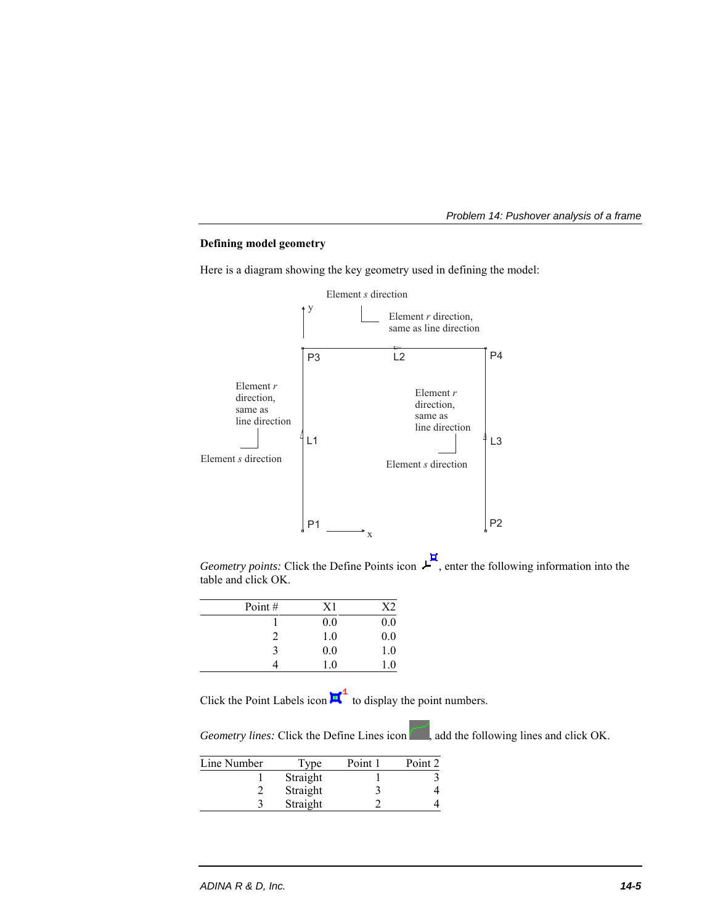

## **Defining model geometry**

Here is a diagram showing the key geometry used in defining the model:



*Geometry points:* Click the Define Points icon  $\mathcal{L}$ , enter the following information into the table and click OK.

| Point# | X1  |         |
|--------|-----|---------|
|        | 0.0 | 0.0     |
| 2      | 1.0 | 0.0     |
| 3      | 0.0 | 1.0     |
|        | 1.0 | $1.0\,$ |

Click the Point Labels icon  $\mathbf{u}^4$  to display the point numbers.

*Geometry lines:* Click the Define Lines icon , add the following lines and click OK.

| Line Number | Type     | Point 1 | Point 2 |
|-------------|----------|---------|---------|
|             | Straight |         |         |
|             | Straight |         |         |
|             | Straight |         |         |

L

l,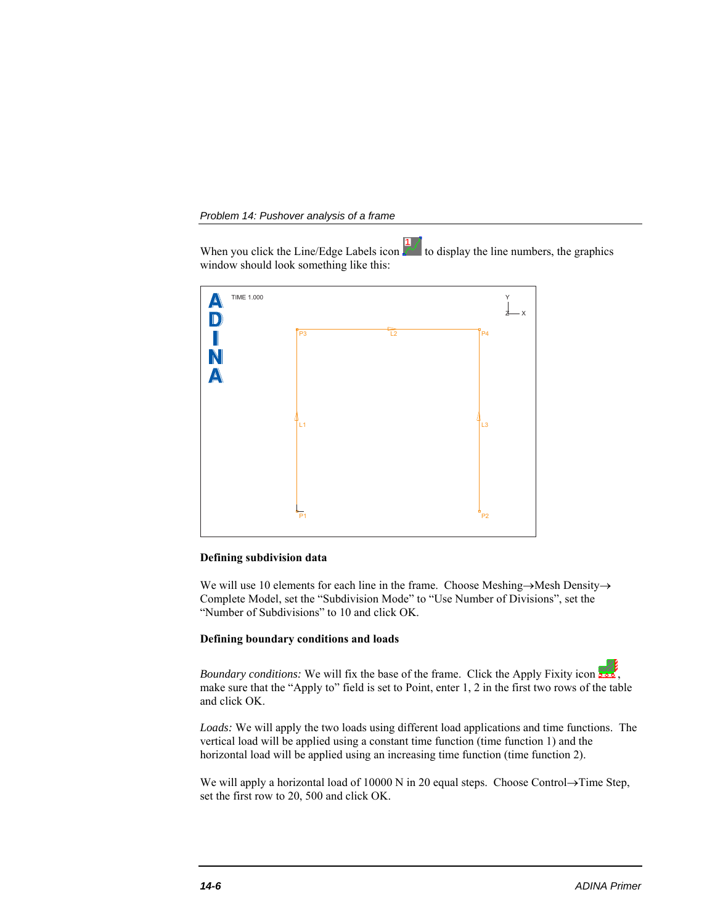When you click the Line/Edge Labels icon  $\frac{1}{\sqrt{2}}$  to display the line numbers, the graphics window should look something like this:



## **Defining subdivision data**

We will use 10 elements for each line in the frame. Choose Meshing $\rightarrow$ Mesh Density $\rightarrow$ Complete Model, set the "Subdivision Mode" to "Use Number of Divisions", set the "Number of Subdivisions" to 10 and click OK.

#### **Defining boundary conditions and loads**

*Boundary conditions:* We will fix the base of the frame. Click the Apply Fixity icon , make sure that the "Apply to" field is set to Point, enter 1, 2 in the first two rows of the table and click OK.

*Loads:* We will apply the two loads using different load applications and time functions. The vertical load will be applied using a constant time function (time function 1) and the horizontal load will be applied using an increasing time function (time function 2).

We will apply a horizontal load of  $10000$  N in 20 equal steps. Choose Control $\rightarrow$ Time Step, set the first row to 20, 500 and click OK.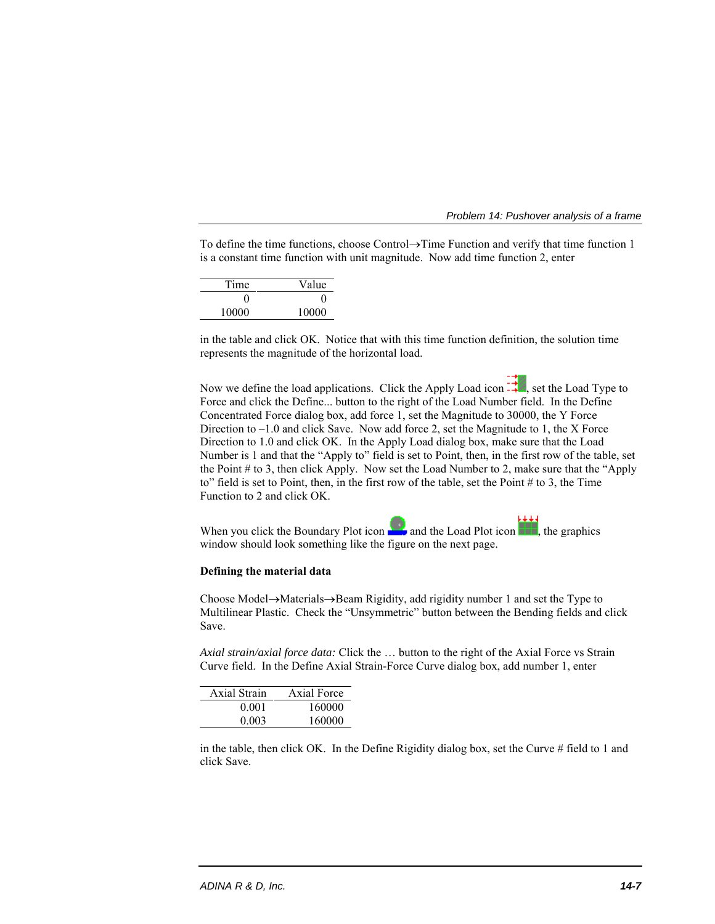To define the time functions, choose Control $\rightarrow$ Time Function and verify that time function 1 is a constant time function with unit magnitude. Now add time function 2, enter

| Value        |
|--------------|
| $\mathbf{0}$ |
| 10000        |
|              |

in the table and click OK. Notice that with this time function definition, the solution time represents the magnitude of the horizontal load.

Now we define the load applications. Click the Apply Load icon  $\vec{f}$ , set the Load Type to Force and click the Define... button to the right of the Load Number field. In the Define Concentrated Force dialog box, add force 1, set the Magnitude to 30000, the Y Force Direction to  $-1.0$  and click Save. Now add force 2, set the Magnitude to 1, the X Force Direction to 1.0 and click OK. In the Apply Load dialog box, make sure that the Load Number is 1 and that the "Apply to" field is set to Point, then, in the first row of the table, set the Point # to 3, then click Apply. Now set the Load Number to 2, make sure that the "Apply to" field is set to Point, then, in the first row of the table, set the Point # to 3, the Time Function to 2 and click OK.

When you click the Boundary Plot icon  $\Box$  and the Load Plot icon  $\Box$ , the graphics window should look something like the figure on the next page.

#### **Defining the material data**

Choose Model $\rightarrow$ Materials $\rightarrow$ Beam Rigidity, add rigidity number 1 and set the Type to Multilinear Plastic. Check the "Unsymmetric" button between the Bending fields and click Save.

*Axial strain/axial force data:* Click the … button to the right of the Axial Force vs Strain Curve field. In the Define Axial Strain-Force Curve dialog box, add number 1, enter

| Axial Strain | Axial Force |
|--------------|-------------|
| 0.001        | 160000      |
| 0.003        | 160000      |

in the table, then click OK. In the Define Rigidity dialog box, set the Curve # field to 1 and click Save.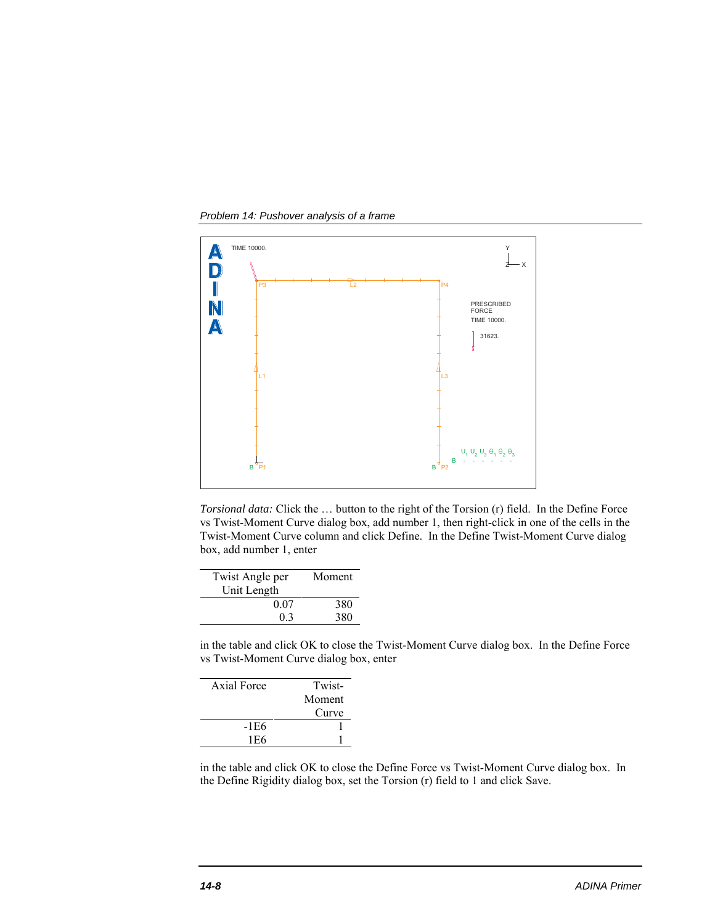*Problem 14: Pushover analysis of a frame* 



*Torsional data:* Click the … button to the right of the Torsion (r) field. In the Define Force vs Twist-Moment Curve dialog box, add number 1, then right-click in one of the cells in the Twist-Moment Curve column and click Define. In the Define Twist-Moment Curve dialog box, add number 1, enter

| Twist Angle per | Moment |
|-----------------|--------|
| Unit Length     |        |
| 0.07            | 380    |
| 0.3             | 380    |
|                 |        |

in the table and click OK to close the Twist-Moment Curve dialog box. In the Define Force vs Twist-Moment Curve dialog box, enter

| Axial Force | Twist- |
|-------------|--------|
|             | Moment |
|             | Curve  |
| -1E6        |        |
| 1E6         |        |

in the table and click OK to close the Define Force vs Twist-Moment Curve dialog box. In the Define Rigidity dialog box, set the Torsion (r) field to 1 and click Save.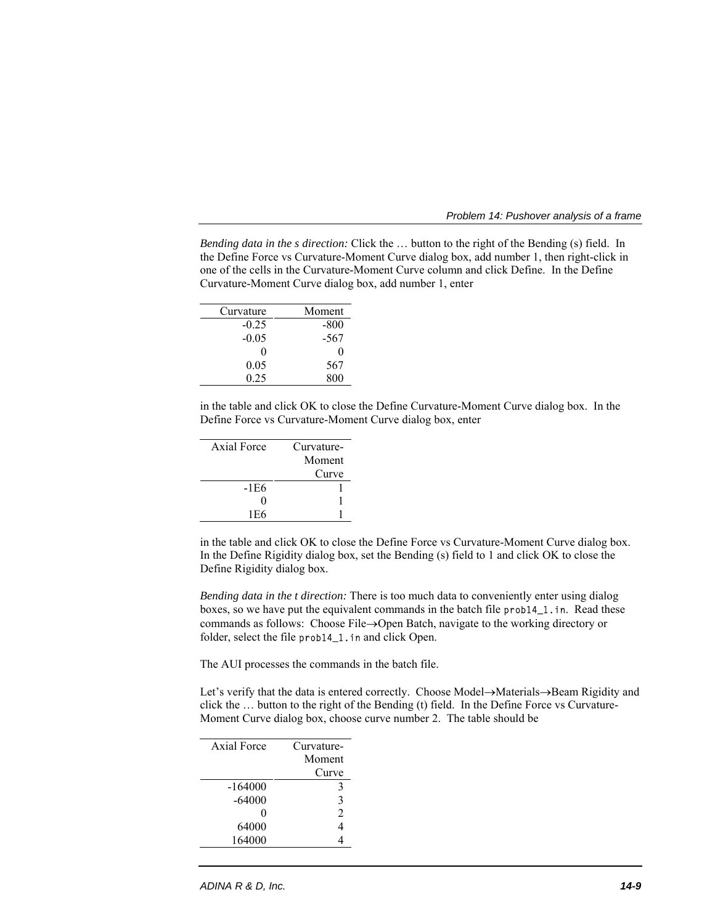*Problem 14: Pushover analysis of a frame* 

*Bending data in the s direction:* Click the ... button to the right of the Bending (s) field. In the Define Force vs Curvature-Moment Curve dialog box, add number 1, then right-click in one of the cells in the Curvature-Moment Curve column and click Define. In the Define Curvature-Moment Curve dialog box, add number 1, enter

| Curvature | Moment |
|-----------|--------|
| $-0.25$   | $-800$ |
| $-0.05$   | $-567$ |
| 0         | 0      |
| 0.05      | 567    |
| 0.25      | 800    |

in the table and click OK to close the Define Curvature-Moment Curve dialog box. In the Define Force vs Curvature-Moment Curve dialog box, enter

| Axial Force       | Curvature- |
|-------------------|------------|
|                   | Moment     |
|                   | Curve      |
| -1E6              |            |
| $\mathbf{\Omega}$ |            |
| 1E6               |            |
|                   |            |

in the table and click OK to close the Define Force vs Curvature-Moment Curve dialog box. In the Define Rigidity dialog box, set the Bending (s) field to 1 and click OK to close the Define Rigidity dialog box.

*Bending data in the t direction:* There is too much data to conveniently enter using dialog boxes, so we have put the equivalent commands in the batch file prob14\_1.in. Read these commands as follows: Choose File $\rightarrow$ Open Batch, navigate to the working directory or folder, select the file prob14\_1.in and click Open.

The AUI processes the commands in the batch file.

Let's verify that the data is entered correctly. Choose Model->Materials->Beam Rigidity and click the … button to the right of the Bending (t) field. In the Define Force vs Curvature-Moment Curve dialog box, choose curve number 2. The table should be

| Axial Force | Curvature-     |  |
|-------------|----------------|--|
|             | Moment         |  |
|             | Curve          |  |
| $-164000$   | 3              |  |
| $-64000$    | 3              |  |
| 0           | $\mathfrak{D}$ |  |
| 64000       |                |  |
| 164000      |                |  |
|             |                |  |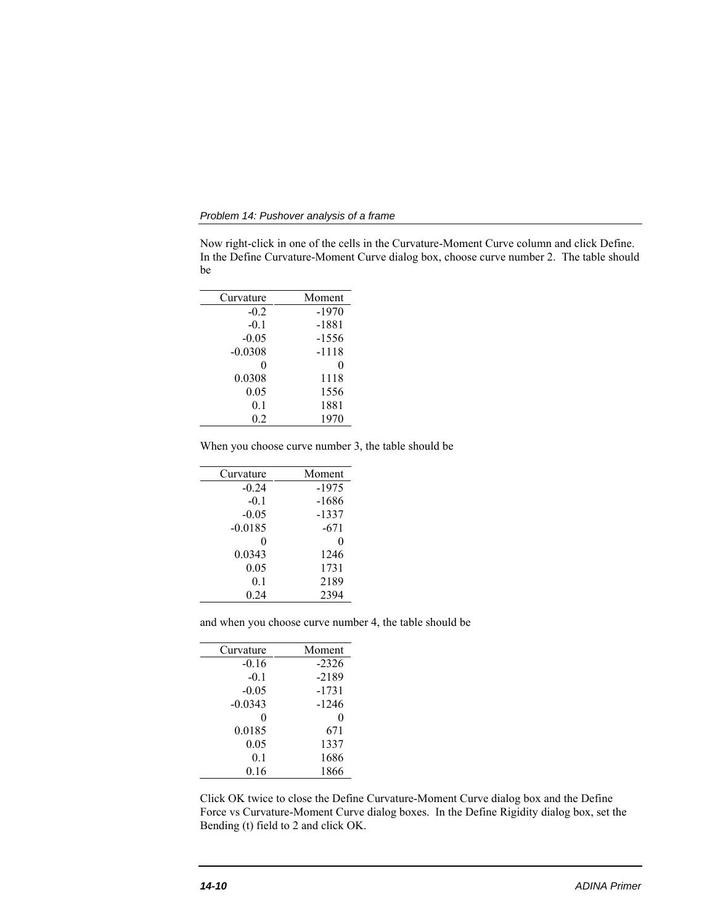*Problem 14: Pushover analysis of a frame* 

Now right-click in one of the cells in the Curvature-Moment Curve column and click Define. In the Define Curvature-Moment Curve dialog box, choose curve number 2. The table should be

| Curvature | Moment  |
|-----------|---------|
| $-0.2$    | $-1970$ |
| $-0.1$    | $-1881$ |
| $-0.05$   | $-1556$ |
| $-0.0308$ | -1118   |
| 0         | 0       |
| 0.0308    | 1118    |
| 0.05      | 1556    |
| 0.1       | 1881    |
| 0.2       | 1970    |
|           |         |

When you choose curve number 3, the table should be

| Moment  |
|---------|
| $-1975$ |
| $-1686$ |
| $-1337$ |
| $-671$  |
| 0       |
| 1246    |
| 1731    |
| 2189    |
| 2394    |
|         |

and when you choose curve number 4, the table should be

| Curvature | Moment  |
|-----------|---------|
| $-0.16$   | $-2326$ |
| $-0.1$    | $-2189$ |
| $-0.05$   | $-1731$ |
| $-0.0343$ | $-1246$ |
| 0         | 0       |
| 0.0185    | 671     |
| 0.05      | 1337    |
| 0.1       | 1686    |
| 0.16      | 1866    |

Click OK twice to close the Define Curvature-Moment Curve dialog box and the Define Force vs Curvature-Moment Curve dialog boxes. In the Define Rigidity dialog box, set the Bending (t) field to 2 and click OK.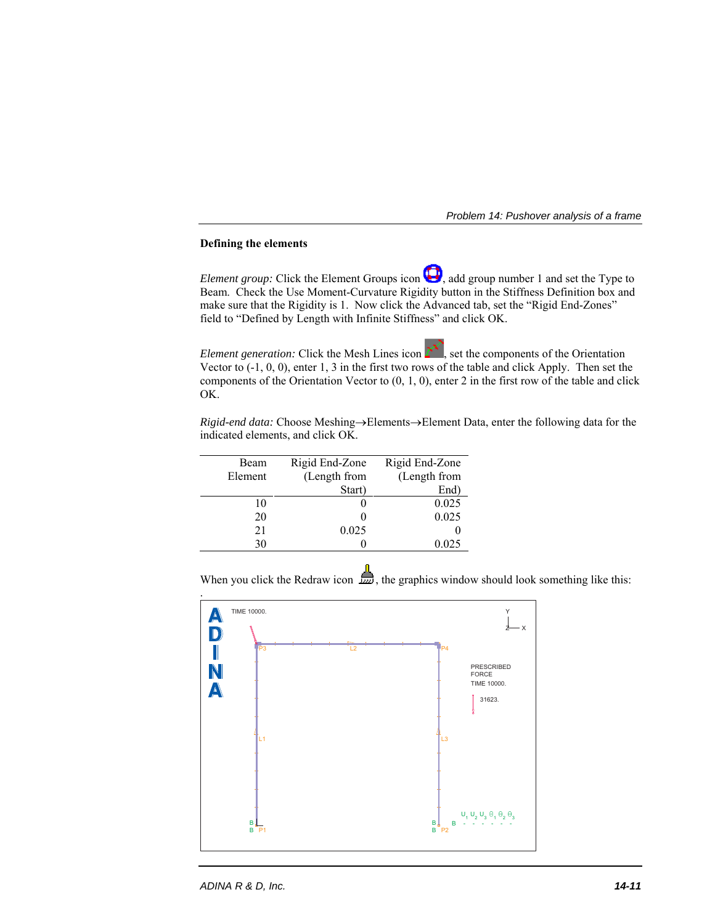## **Defining the elements**

*Element group:* Click the Element Groups icon  $\Box$ , add group number 1 and set the Type to Beam. Check the Use Moment-Curvature Rigidity button in the Stiffness Definition box and make sure that the Rigidity is 1. Now click the Advanced tab, set the "Rigid End-Zones" field to "Defined by Length with Infinite Stiffness" and click OK.

*Element generation:* Click the Mesh Lines icon  $\sum_{n=1}^{\infty}$ , set the components of the Orientation Vector to (-1, 0, 0), enter 1, 3 in the first two rows of the table and click Apply. Then set the components of the Orientation Vector to  $(0, 1, 0)$ , enter 2 in the first row of the table and click OK.

*Rigid-end data:* Choose Meshing->Elements->Element Data, enter the following data for the indicated elements, and click OK.

| Beam    | Rigid End-Zone | Rigid End-Zone |
|---------|----------------|----------------|
| Element | (Length from   | (Length from   |
|         | Start)         | End)           |
| 10      |                | 0.025          |
| 20      |                | 0.025          |
| 21      | 0.025          |                |
| 30      |                | 0.025          |

When you click the Redraw icon  $\mathbf{m}$ , the graphics window should look something like this:

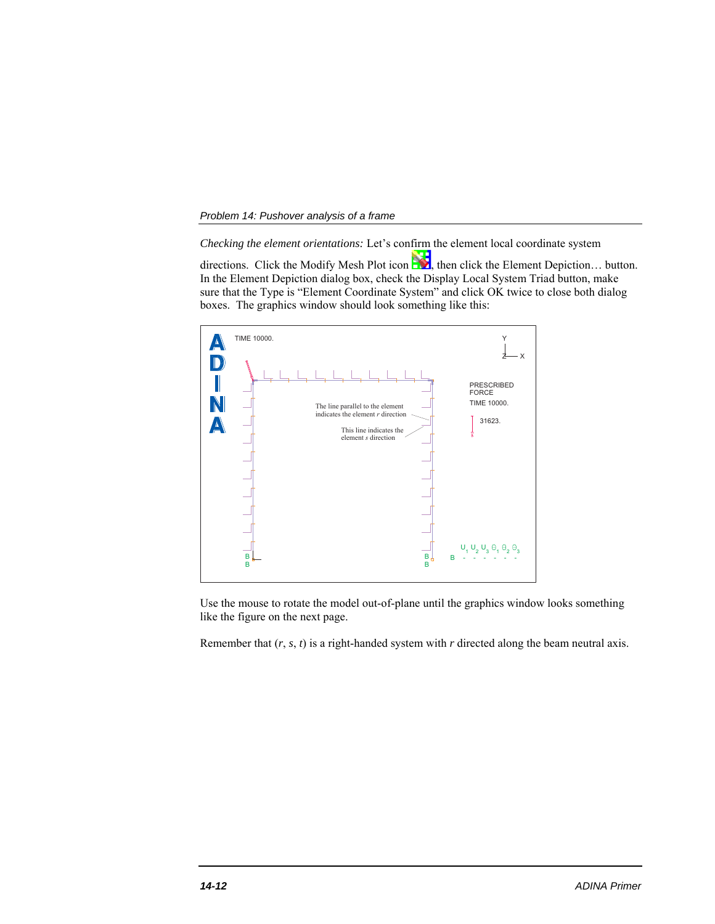*Checking the element orientations:* Let's confirm the element local coordinate system

directions. Click the Modify Mesh Plot icon  $\sum$ , then click the Element Depiction... button. In the Element Depiction dialog box, check the Display Local System Triad button, make sure that the Type is "Element Coordinate System" and click OK twice to close both dialog boxes. The graphics window should look something like this:



Use the mouse to rotate the model out-of-plane until the graphics window looks something like the figure on the next page.

Remember that  $(r, s, t)$  is a right-handed system with  $r$  directed along the beam neutral axis.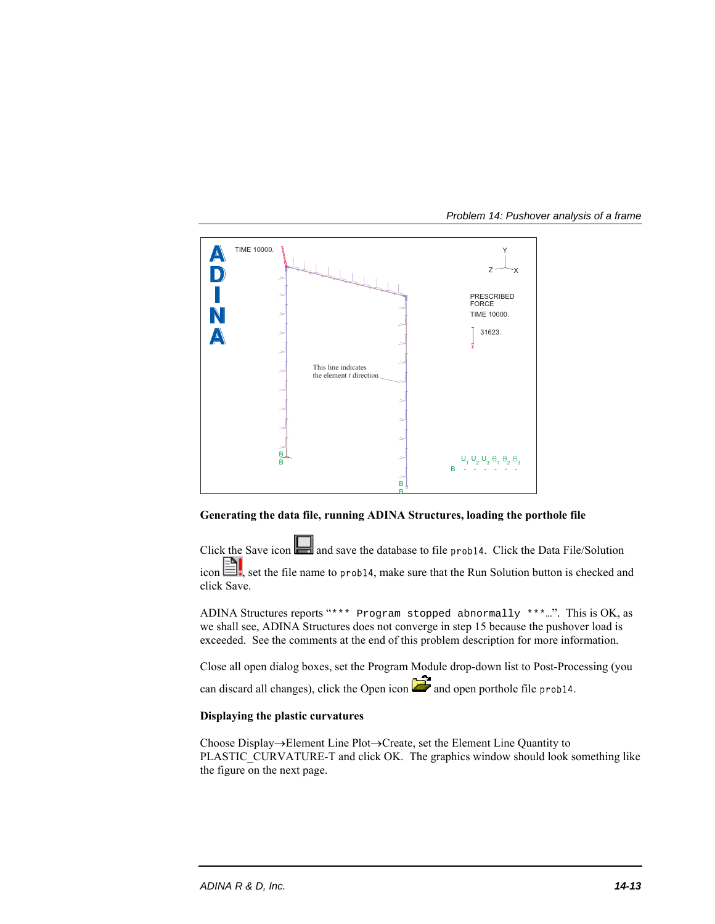



## **Generating the data file, running ADINA Structures, loading the porthole file**

Click the Save icon and save the database to file prob14. Click the Data File/Solution icon  $\Box$ , set the file name to prob14, make sure that the Run Solution button is checked and click Save.

ADINA Structures reports "\*\*\* Program stopped abnormally \*\*\*…". This is OK, as we shall see, ADINA Structures does not converge in step 15 because the pushover load is exceeded. See the comments at the end of this problem description for more information.

Close all open dialog boxes, set the Program Module drop-down list to Post-Processing (you can discard all changes), click the Open icon  $\Box$  and open porthole file prob14.

## **Displaying the plastic curvatures**

Choose Display $\rightarrow$ Element Line Plot $\rightarrow$ Create, set the Element Line Quantity to PLASTIC\_CURVATURE-T and click OK. The graphics window should look something like the figure on the next page.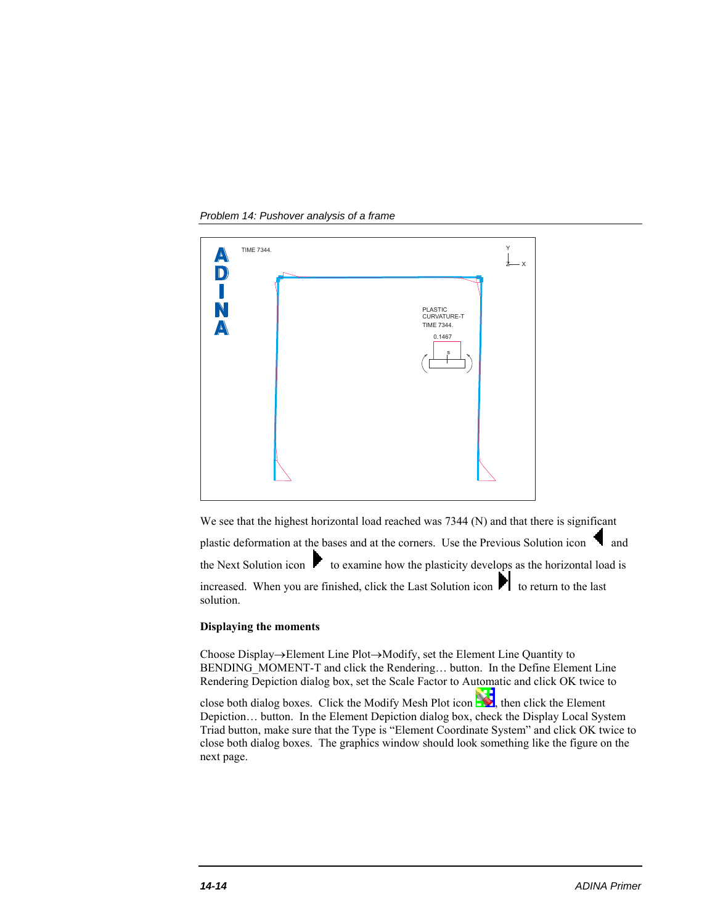*Problem 14: Pushover analysis of a frame* 



We see that the highest horizontal load reached was 7344 (N) and that there is significant plastic deformation at the bases and at the corners. Use the Previous Solution icon  $\Box$  and the Next Solution icon  $\blacktriangleright$  to examine how the plasticity develops as the horizontal load is increased. When you are finished, click the Last Solution icon  $\blacksquare$  to return to the last solution.

#### **Displaying the moments**

Choose Display $\rightarrow$ Element Line Plot $\rightarrow$ Modify, set the Element Line Quantity to BENDING\_MOMENT-T and click the Rendering… button. In the Define Element Line Rendering Depiction dialog box, set the Scale Factor to Automatic and click OK twice to

close both dialog boxes. Click the Modify Mesh Plot icon  $\Box$ , then click the Element Depiction… button. In the Element Depiction dialog box, check the Display Local System Triad button, make sure that the Type is "Element Coordinate System" and click OK twice to close both dialog boxes. The graphics window should look something like the figure on the next page.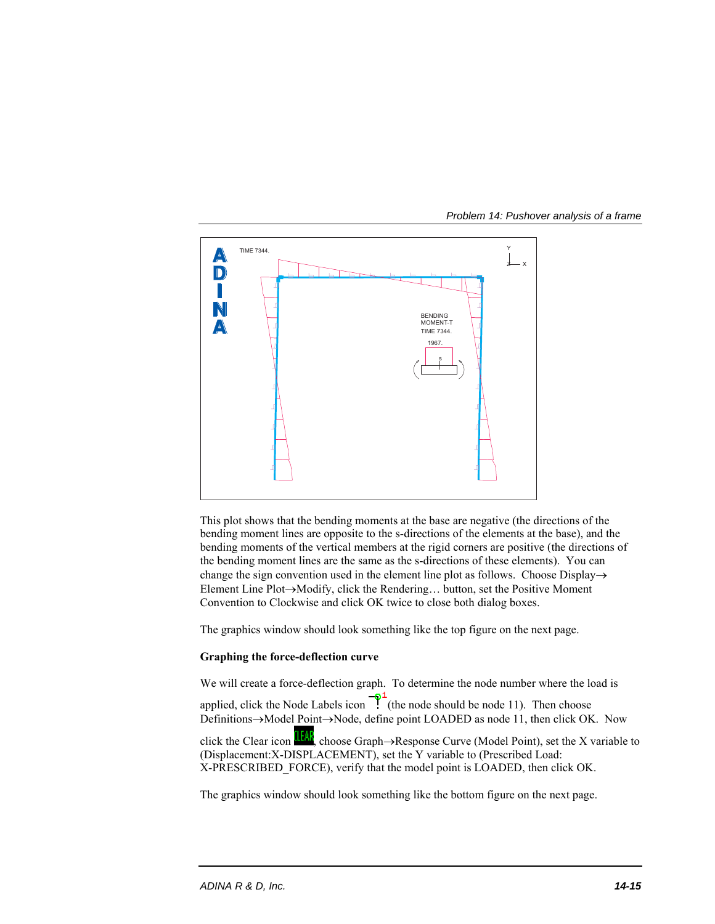

This plot shows that the bending moments at the base are negative (the directions of the bending moment lines are opposite to the s-directions of the elements at the base), and the bending moments of the vertical members at the rigid corners are positive (the directions of the bending moment lines are the same as the s-directions of these elements). You can change the sign convention used in the element line plot as follows. Choose Display $\rightarrow$ Element Line Plot→Modify, click the Rendering... button, set the Positive Moment Convention to Clockwise and click OK twice to close both dialog boxes.

The graphics window should look something like the top figure on the next page.

# **Graphing the force-deflection curve**

We will create a force-deflection graph. To determine the node number where the load is applied, click the Node Labels icon  $\frac{1}{\sqrt{t}}$  (the node should be node 11). Then choose Definitions->Model Point->Node, define point LOADED as node 11, then click OK. Now click the Clear icon  $\frac{1}{2}$ , choose Graph $\rightarrow$ Response Curve (Model Point), set the X variable to (Displacement:X-DISPLACEMENT), set the Y variable to (Prescribed Load: X-PRESCRIBED\_FORCE), verify that the model point is LOADED, then click OK.

The graphics window should look something like the bottom figure on the next page.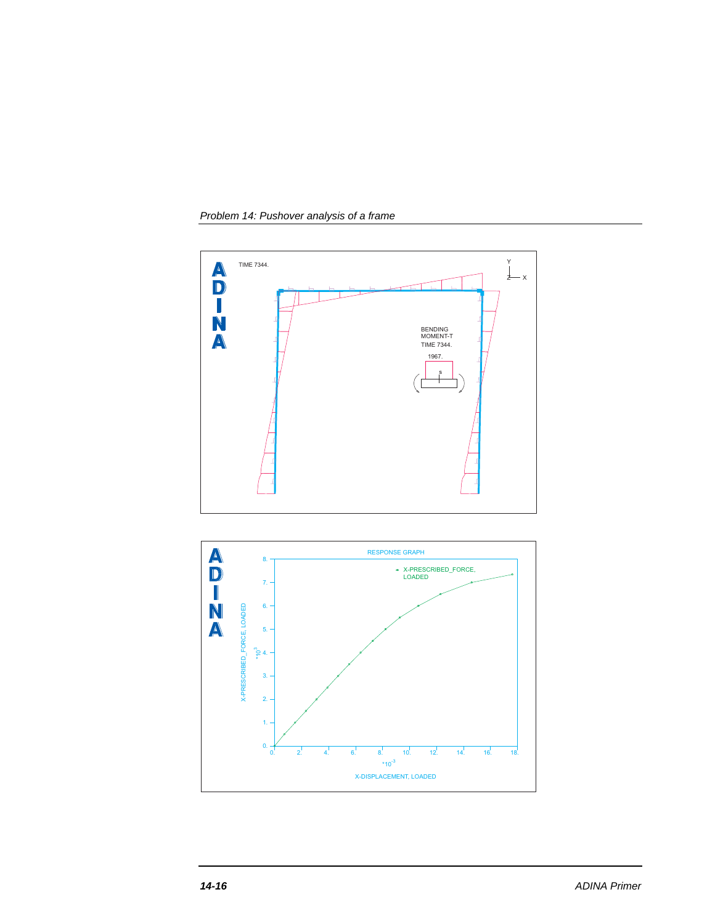*Problem 14: Pushover analysis of a frame* 



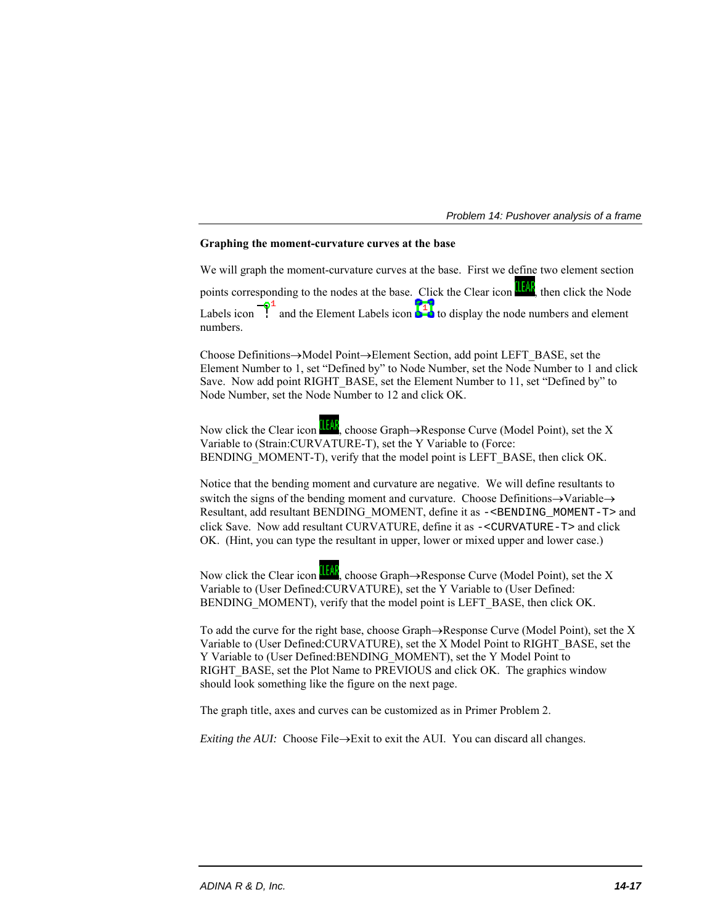### **Graphing the moment-curvature curves at the base**

We will graph the moment-curvature curves at the base. First we define two element section points corresponding to the nodes at the base. Click the Clear icon **IEAF**, then click the Node Labels icon  $\frac{-\delta^2}{\delta}$  and the Element Labels icon  $\frac{1}{\delta}$  to display the node numbers and element numbers.

Choose Definitions $\rightarrow$ Model Point $\rightarrow$ Element Section, add point LEFT\_BASE, set the Element Number to 1, set "Defined by" to Node Number, set the Node Number to 1 and click Save. Now add point RIGHT\_BASE, set the Element Number to 11, set "Defined by" to Node Number, set the Node Number to 12 and click OK.

Now click the Clear icon  $\frac{d}{d\mathbf{r}}$ , choose Graph $\rightarrow$ Response Curve (Model Point), set the X Variable to (Strain:CURVATURE-T), set the Y Variable to (Force: BENDING MOMENT-T), verify that the model point is LEFT BASE, then click OK.

Notice that the bending moment and curvature are negative. We will define resultants to switch the signs of the bending moment and curvature. Choose Definitions $\rightarrow$ Variable $\rightarrow$ Resultant, add resultant BENDING\_MOMENT, define it as -<BENDING\_MOMENT-T> and click Save. Now add resultant CURVATURE, define it as -<CURVATURE-T> and click OK. (Hint, you can type the resultant in upper, lower or mixed upper and lower case.)

Now click the Clear icon  $\frac{1}{2}$ , choose Graph $\rightarrow$ Response Curve (Model Point), set the X Variable to (User Defined:CURVATURE), set the Y Variable to (User Defined: BENDING MOMENT), verify that the model point is LEFT BASE, then click OK.

To add the curve for the right base, choose Graph $\rightarrow$ Response Curve (Model Point), set the X Variable to (User Defined:CURVATURE), set the X Model Point to RIGHT\_BASE, set the Y Variable to (User Defined:BENDING\_MOMENT), set the Y Model Point to RIGHT\_BASE, set the Plot Name to PREVIOUS and click OK. The graphics window should look something like the figure on the next page.

The graph title, axes and curves can be customized as in Primer Problem 2.

*Exiting the AUI:* Choose File $\rightarrow$ Exit to exit the AUI. You can discard all changes.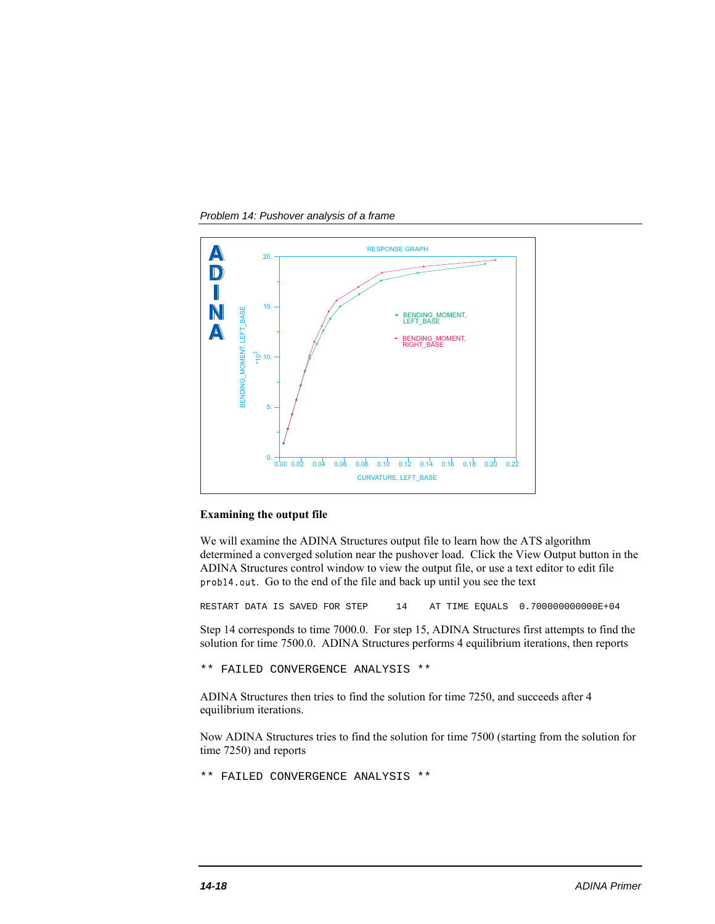*Problem 14: Pushover analysis of a frame* 



#### **Examining the output file**

We will examine the ADINA Structures output file to learn how the ATS algorithm determined a converged solution near the pushover load. Click the View Output button in the ADINA Structures control window to view the output file, or use a text editor to edit file prob14.out. Go to the end of the file and back up until you see the text

RESTART DATA IS SAVED FOR STEP 14 AT TIME EQUALS 0.700000000000E+04

Step 14 corresponds to time 7000.0. For step 15, ADINA Structures first attempts to find the solution for time 7500.0. ADINA Structures performs 4 equilibrium iterations, then reports

\*\* FAILED CONVERGENCE ANALYSIS \*\*

ADINA Structures then tries to find the solution for time 7250, and succeeds after 4 equilibrium iterations.

Now ADINA Structures tries to find the solution for time 7500 (starting from the solution for time 7250) and reports

\*\* FAILED CONVERGENCE ANALYSIS \*\*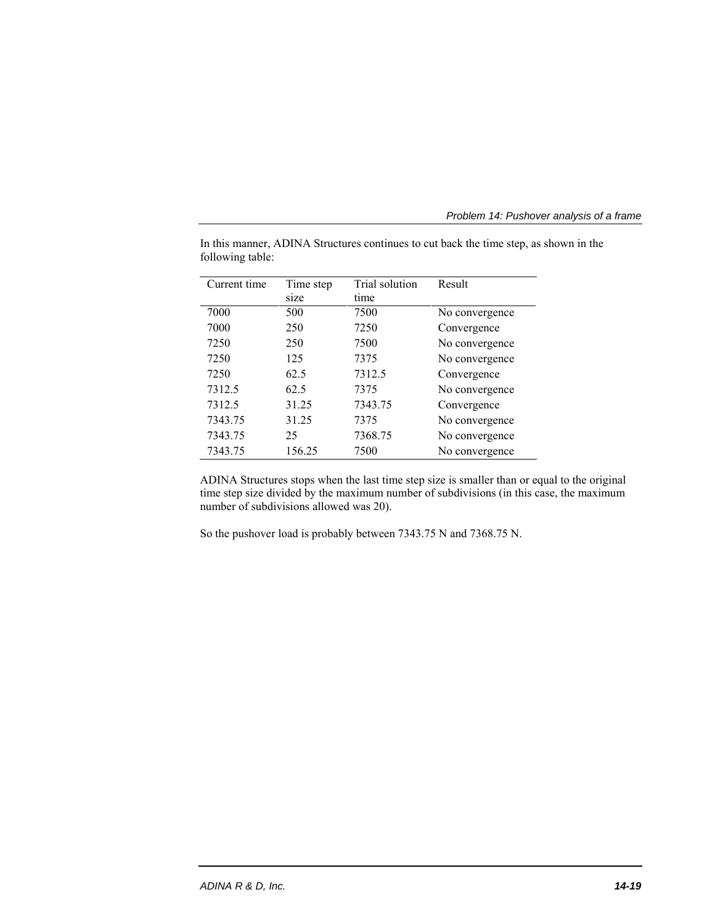*Problem 14: Pushover analysis of a frame* 

| Current time | Time step | Trial solution | Result         |
|--------------|-----------|----------------|----------------|
|              | size      | time           |                |
| 7000         | 500       | 7500           | No convergence |
| 7000         | 250       | 7250           | Convergence    |
| 7250         | 250       | 7500           | No convergence |
| 7250         | 125       | 7375           | No convergence |
| 7250         | 62.5      | 7312.5         | Convergence    |
| 7312.5       | 62.5      | 7375           | No convergence |
| 7312.5       | 31.25     | 7343.75        | Convergence    |
| 7343.75      | 31.25     | 7375           | No convergence |
| 7343.75      | 25        | 7368.75        | No convergence |
| 7343.75      | 156.25    | 7500           | No convergence |

In this manner, ADINA Structures continues to cut back the time step, as shown in the following table:

ADINA Structures stops when the last time step size is smaller than or equal to the original time step size divided by the maximum number of subdivisions (in this case, the maximum number of subdivisions allowed was 20).

So the pushover load is probably between 7343.75 N and 7368.75 N.